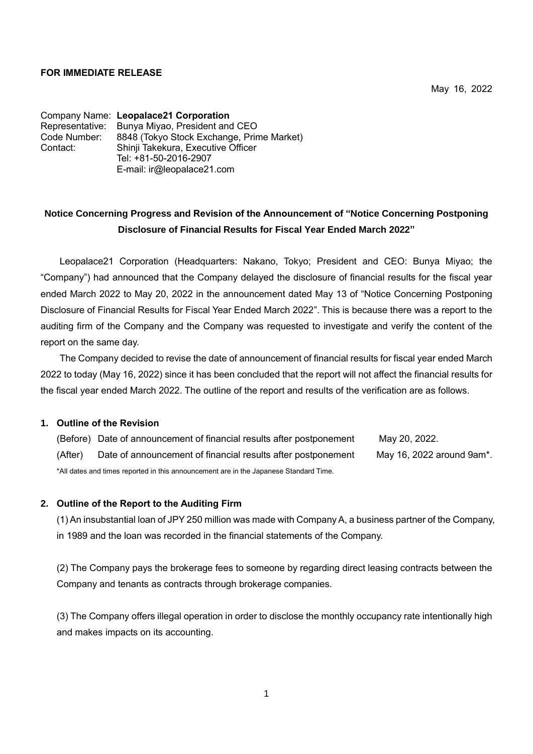#### **FOR IMMEDIATE RELEASE**

May 16, 2022

Company Name: **Leopalace21 Corporation** Representative: Bunya Miyao, President and CEO Code Number: 8848 (Tokyo Stock Exchange, Prime Market) Contact: Shinji Takekura, Executive Officer Tel: +81-50-2016-2907 E-mail: ir@leopalace21.com

# **Notice Concerning Progress and Revision of the Announcement of "Notice Concerning Postponing Disclosure of Financial Results for Fiscal Year Ended March 2022"**

Leopalace21 Corporation (Headquarters: Nakano, Tokyo; President and CEO: Bunya Miyao; the "Company") had announced that the Company delayed the disclosure of financial results for the fiscal year ended March 2022 to May 20, 2022 in the announcement dated May 13 of "Notice Concerning Postponing Disclosure of Financial Results for Fiscal Year Ended March 2022". This is because there was a report to the auditing firm of the Company and the Company was requested to investigate and verify the content of the report on the same day.

The Company decided to revise the date of announcement of financial results for fiscal year ended March 2022 to today (May 16, 2022) since it has been concluded that the report will not affect the financial results for the fiscal year ended March 2022. The outline of the report and results of the verification are as follows.

#### **1. Outline of the Revision**

(Before) Date of announcement of financial results after postponement May 20, 2022. (After) Date of announcement of financial results after postponement May 16, 2022 around 9am\*. \*All dates and times reported in this announcement are in the Japanese Standard Time.

## **2. Outline of the Report to the Auditing Firm**

(1) An insubstantial loan of JPY 250 million was made with Company A, a business partner of the Company, in 1989 and the loan was recorded in the financial statements of the Company.

(2) The Company pays the brokerage fees to someone by regarding direct leasing contracts between the Company and tenants as contracts through brokerage companies.

(3) The Company offers illegal operation in order to disclose the monthly occupancy rate intentionally high and makes impacts on its accounting.